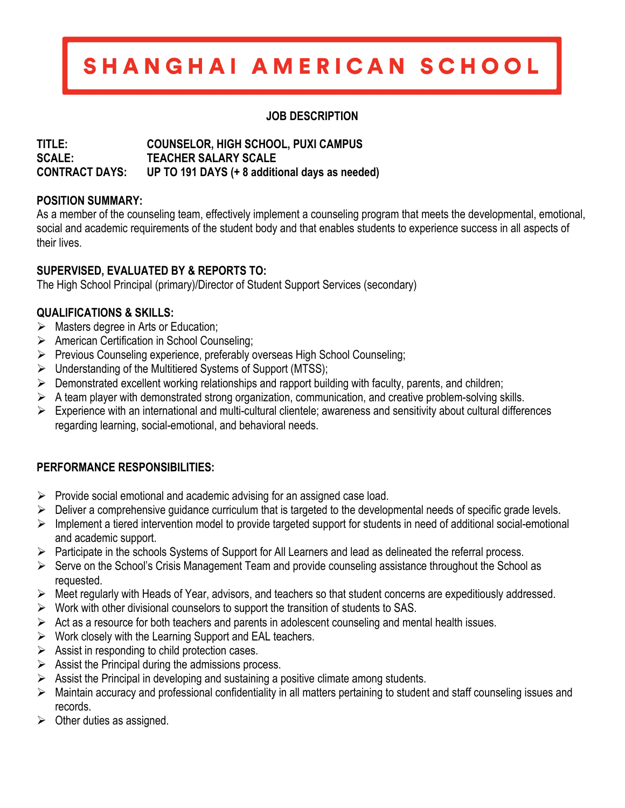# SHANGHAI AMERICAN SCHOOL

### **JOB DESCRIPTION**

#### **TITLE: COUNSELOR, HIGH SCHOOL, PUXI CAMPUS SCALE: TEACHER SALARY SCALE CONTRACT DAYS: UP TO 191 DAYS (+ 8 additional days as needed)**

# **POSITION SUMMARY:**

As a member of the counseling team, effectively implement a counseling program that meets the developmental, emotional, social and academic requirements of the student body and that enables students to experience success in all aspects of their lives.

# **SUPERVISED, EVALUATED BY & REPORTS TO:**

The High School Principal (primary)/Director of Student Support Services (secondary)

## **QUALIFICATIONS & SKILLS:**

- $\triangleright$  Masters degree in Arts or Education;
- Ø American Certification in School Counseling;
- Ø Previous Counseling experience, preferably overseas High School Counseling;
- $\triangleright$  Understanding of the Multitiered Systems of Support (MTSS);
- $\triangleright$  Demonstrated excellent working relationships and rapport building with faculty, parents, and children;
- $\triangleright$  A team player with demonstrated strong organization, communication, and creative problem-solving skills.
- $\triangleright$  Experience with an international and multi-cultural clientele; awareness and sensitivity about cultural differences regarding learning, social-emotional, and behavioral needs.

## **PERFORMANCE RESPONSIBILITIES:**

- $\triangleright$  Provide social emotional and academic advising for an assigned case load.
- $\triangleright$  Deliver a comprehensive guidance curriculum that is targeted to the developmental needs of specific grade levels.
- $\triangleright$  Implement a tiered intervention model to provide targeted support for students in need of additional social-emotional and academic support.
- Ø Participate in the schools Systems of Support for All Learners and lead as delineated the referral process.
- $\triangleright$  Serve on the School's Crisis Management Team and provide counseling assistance throughout the School as requested.
- $\triangleright$  Meet regularly with Heads of Year, advisors, and teachers so that student concerns are expeditiously addressed.
- $\triangleright$  Work with other divisional counselors to support the transition of students to SAS.
- $\triangleright$  Act as a resource for both teachers and parents in adolescent counseling and mental health issues.
- $\triangleright$  Work closely with the Learning Support and EAL teachers.
- $\triangleright$  Assist in responding to child protection cases.
- $\triangleright$  Assist the Principal during the admissions process.
- $\triangleright$  Assist the Principal in developing and sustaining a positive climate among students.
- $\triangleright$  Maintain accuracy and professional confidentiality in all matters pertaining to student and staff counseling issues and records.
- $\triangleright$  Other duties as assigned.